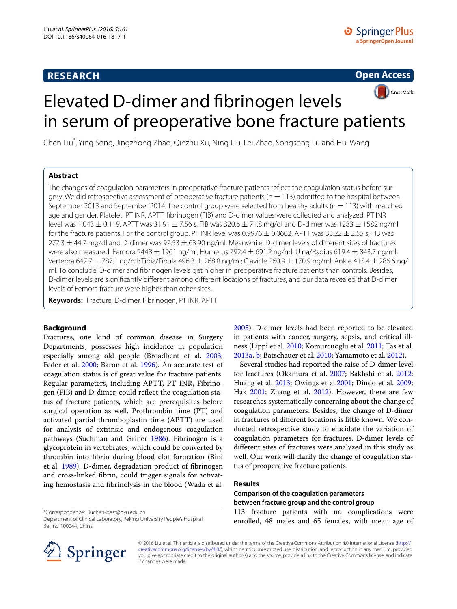# **RESEARCH**

**Open Access**



# Elevated D-dimer and fibrinogen levels in serum of preoperative bone fracture patients

Chen Liu\* , Ying Song, Jingzhong Zhao, Qinzhu Xu, Ning Liu, Lei Zhao, Songsong Lu and Hui Wang

# **Abstract**

The changes of coagulation parameters in preoperative fracture patients reflect the coagulation status before surgery. We did retrospective assessment of preoperative fracture patients ( $n = 113$ ) admitted to the hospital between September 2013 and September 2014. The control group were selected from healthy adults ( $n = 113$ ) with matched age and gender. Platelet, PT INR, APTT, fibrinogen (FIB) and D-dimer values were collected and analyzed. PT INR level was 1.043  $\pm$  0.119, APTT was 31.91  $\pm$  7.56 s, FIB was 320.6  $\pm$  71.8 mg/dl and D-dimer was 1283  $\pm$  1582 ng/ml for the fracture patients. For the control group, PT INR level was 0.9976  $\pm$  0.0602, APTT was 33.22  $\pm$  2.55 s, FIB was  $277.3 \pm 44.7$  mg/dl and D-dimer was 97.53  $\pm$  63.90 ng/ml. Meanwhile, D-dimer levels of different sites of fractures were also measured: Femora 2448  $\pm$  1961 ng/ml; Humerus 792.4  $\pm$  691.2 ng/ml; Ulna/Radius 619.4  $\pm$  843.7 ng/ml; Vertebra 647.7 ± 787.1 ng/ml; Tibia/Fibula 496.3 ± 268.8 ng/ml; Clavicle 260.9 ± 170.9 ng/ml; Ankle 415.4 ± 286.6 ng/ ml. To conclude, D-dimer and fibrinogen levels get higher in preoperative fracture patients than controls. Besides, D-dimer levels are significantly different among different locations of fractures, and our data revealed that D-dimer levels of Femora fracture were higher than other sites.

**Keywords:** Fracture, D-dimer, Fibrinogen, PT INR, APTT

# **Background**

Fractures, one kind of common disease in Surgery Departments, possesses high incidence in population especially among old people (Broadbent et al. [2003](#page-4-0); Feder et al. [2000;](#page-4-1) Baron et al. [1996\)](#page-4-2). An accurate test of coagulation status is of great value for fracture patients. Regular parameters, including APTT, PT INR, Fibrinogen (FIB) and D-dimer, could reflect the coagulation status of fracture patients, which are prerequisites before surgical operation as well. Prothrombin time (PT) and activated partial thromboplastin time (APTT) are used for analysis of extrinsic and endogenous coagulation pathways (Suchman and Griner [1986](#page-4-3)). Fibrinogen is a glycoprotein in vertebrates, which could be converted by thrombin into fibrin during blood clot formation (Bini et al. [1989\)](#page-4-4). D-dimer, degradation product of fibrinogen and cross-linked fibrin, could trigger signals for activating hemostasis and fibrinolysis in the blood (Wada et al.

\*Correspondence: liuchen-best@pku.edu.cn

[2005](#page-4-5)). D-dimer levels had been reported to be elevated in patients with cancer, surgery, sepsis, and critical illness (Lippi et al. [2010](#page-4-6); Komurcuoglu et al. [2011](#page-4-7); Tas et al. [2013a](#page-4-8), [b;](#page-4-9) Batschauer et al. [2010](#page-4-10); Yamamoto et al. [2012\)](#page-4-11).

Several studies had reported the raise of D-dimer level for fractures (Okamura et al. [2007;](#page-4-12) Bakhshi et al. [2012](#page-4-13); Huang et al. [2013](#page-4-14); Owings et al[.2001;](#page-4-15) Dindo et al. [2009](#page-4-16); Hak [2001;](#page-4-17) Zhang et al. [2012\)](#page-4-18). However, there are few researches systematically concerning about the change of coagulation parameters. Besides, the change of D-dimer in fractures of different locations is little known. We conducted retrospective study to elucidate the variation of coagulation parameters for fractures. D-dimer levels of different sites of fractures were analyzed in this study as well. Our work will clarify the change of coagulation status of preoperative fracture patients.

# **Results**

# **Comparison of the coagulation parameters between fracture group and the control group**

113 fracture patients with no complications were enrolled, 48 males and 65 females, with mean age of



© 2016 Liu et al. This article is distributed under the terms of the Creative Commons Attribution 4.0 International License ([http://](http://creativecommons.org/licenses/by/4.0/) [creativecommons.org/licenses/by/4.0/](http://creativecommons.org/licenses/by/4.0/)), which permits unrestricted use, distribution, and reproduction in any medium, provided you give appropriate credit to the original author(s) and the source, provide a link to the Creative Commons license, and indicate if changes were made.

Department of Clinical Laboratory, Peking University People's Hospital, Beijing 100044, China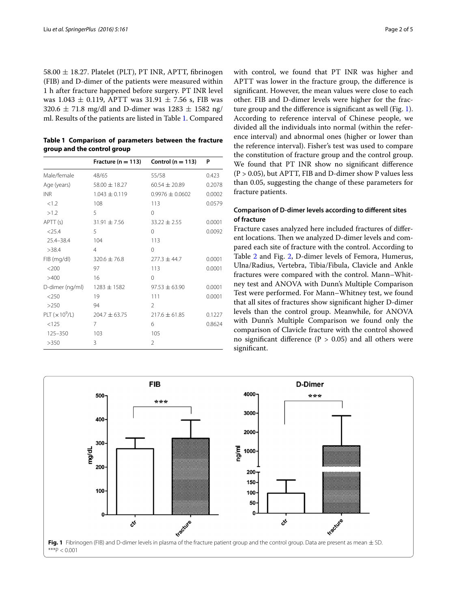58.00  $\pm$  18.27. Platelet (PLT), PT INR, APTT, fibrinogen (FIB) and D-dimer of the patients were measured within 1 h after fracture happened before surgery. PT INR level was 1.043  $\pm$  0.119, APTT was 31.91  $\pm$  7.56 s, FIB was  $320.6 \pm 71.8$  mg/dl and D-dimer was  $1283 \pm 1582$  ng/ ml. Results of the patients are listed in Table [1.](#page-1-0) Compared

<span id="page-1-0"></span>

| Table 1 Comparison of parameters between the fracture |  |  |  |
|-------------------------------------------------------|--|--|--|
| group and the control group                           |  |  |  |

|                 | Fracture ( $n = 113$ ) | Control ( $n = 113$ ) | P      |
|-----------------|------------------------|-----------------------|--------|
| Male/female     | 48/65                  | 55/58                 | 0.423  |
| Age (years)     | $58.00 \pm 18.27$      | $60.54 \pm 20.89$     | 0.2078 |
| <b>INR</b>      | $1.043 \pm 0.119$      | $0.9976 + 0.0602$     | 0.0002 |
| < 1.2           | 108                    | 113                   | 0.0579 |
| >1.2            | 5                      | $\Omega$              |        |
| APTT (s)        | $31.91 \pm 7.56$       | $33.22 \pm 2.55$      | 0.0001 |
| $<$ 25.4        | 5                      | $\Omega$              | 0.0092 |
| $25.4 - 38.4$   | 104                    | 113                   |        |
| >38.4           | $\overline{4}$         | $\Omega$              |        |
| $FIB$ (mg/dl)   | $320.6 \pm 76.8$       | $277.3 \pm 44.7$      | 0.0001 |
| $<$ 200         | 97                     | 113                   | 0.0001 |
| >400            | 16                     | $\Omega$              |        |
| D-dimer (ng/ml) | $1283 \pm 1582$        | $97.53 \pm 63.90$     | 0.0001 |
| $<$ 250         | 19                     | 111                   | 0.0001 |
| >250            | 94                     | $\mathfrak{D}$        |        |
| PLT $(x10^9/L)$ | $204.7 \pm 63.75$      | $217.6 \pm 61.85$     | 0.1227 |
| < 125           | 7                      | 6                     | 0.8624 |
| 125-350         | 103                    | 105                   |        |
| >350            | 3                      | $\mathfrak{D}$        |        |

with control, we found that PT INR was higher and APTT was lower in the fracture group, the difference is significant. However, the mean values were close to each other. FIB and D-dimer levels were higher for the fracture group and the difference is significant as well (Fig. [1](#page-1-1)). According to reference interval of Chinese people, we divided all the individuals into normal (within the reference interval) and abnormal ones (higher or lower than the reference interval). Fisher's test was used to compare the constitution of fracture group and the control group. We found that PT INR show no significant difference  $(P > 0.05)$ , but APTT, FIB and D-dimer show P values less than 0.05, suggesting the change of these parameters for fracture patients.

# **Comparison of D‑dimer levels according to different sites of fracture**

Fracture cases analyzed here included fractures of different locations. Then we analyzed D-dimer levels and compared each site of fracture with the control. According to Table [2](#page-2-0) and Fig. [2,](#page-2-1) D-dimer levels of Femora, Humerus, Ulna/Radius, Vertebra, Tibia/Fibula, Clavicle and Ankle fractures were compared with the control. Mann–Whitney test and ANOVA with Dunn's Multiple Comparison Test were performed. For Mann–Whitney test, we found that all sites of fractures show significant higher D-dimer levels than the control group. Meanwhile, for ANOVA with Dunn's Multiple Comparison we found only the comparison of Clavicle fracture with the control showed no significant difference ( $P > 0.05$ ) and all others were significant.

<span id="page-1-1"></span>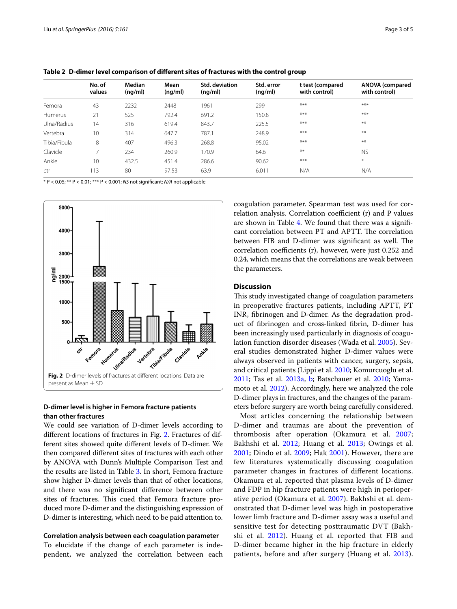|              | No. of<br>values | Median<br>(nq/ml) | Mean<br>(nq/ml) | <b>Std. deviation</b><br>(nq/ml) | Std. error<br>(nq/ml) | t test (compared<br>with control) | <b>ANOVA</b> (compared<br>with control) |
|--------------|------------------|-------------------|-----------------|----------------------------------|-----------------------|-----------------------------------|-----------------------------------------|
| Femora       | 43               | 2232              | 2448            | 1961                             | 299                   | $***$                             | $***$                                   |
| Humerus      | 21               | 525               | 792.4           | 691.2                            | 150.8                 | $***$                             | $***$                                   |
| Ulna/Radius  | 14               | 316               | 619.4           | 843.7                            | 225.5                 | $***$                             | $***$                                   |
| Vertebra     | 10               | 314               | 647.7           | 787.1                            | 248.9                 | $***$                             | $***$                                   |
| Tibia/Fibula | 8                | 407               | 496.3           | 268.8                            | 95.02                 | $***$                             | $**$                                    |
| Clavicle     | ⇁                | 234               | 260.9           | 170.9                            | 64.6                  | $***$                             | <b>NS</b>                               |
| Ankle        | 10               | 432.5             | 451.4           | 286.6                            | 90.62                 | $***$                             | $\ast$                                  |
| ctr          | 113              | 80                | 97.53           | 63.9                             | 6.011                 | N/A                               | N/A                                     |

<span id="page-2-0"></span>**Table 2 D-dimer level comparison of different sites of fractures with the control group**

\* P < 0.05; \*\* P < 0.01; \*\*\* P < 0.001; *NS* not significant; *N/A* not applicable



# <span id="page-2-1"></span>**D‑dimer level is higher in Femora fracture patients than other fractures**

We could see variation of D-dimer levels according to different locations of fractures in Fig. [2](#page-2-1). Fractures of different sites showed quite different levels of D-dimer. We then compared different sites of fractures with each other by ANOVA with Dunn's Multiple Comparison Test and the results are listed in Table [3](#page-3-0). In short, Femora fracture show higher D-dimer levels than that of other locations, and there was no significant difference between other sites of fractures. This cued that Femora fracture produced more D-dimer and the distinguishing expression of D-dimer is interesting, which need to be paid attention to.

## **Correlation analysis between each coagulation parameter**

To elucidate if the change of each parameter is independent, we analyzed the correlation between each coagulation parameter. Spearman test was used for correlation analysis. Correlation coefficient (r) and P values are shown in Table [4.](#page-3-1) We found that there was a significant correlation between PT and APTT. The correlation between FIB and D-dimer was significant as well. The correlation coefficients (r), however, were just 0.252 and 0.24, which means that the correlations are weak between the parameters.

## **Discussion**

This study investigated change of coagulation parameters in preoperative fractures patients, including APTT, PT INR, fibrinogen and D-dimer. As the degradation product of fibrinogen and cross-linked fibrin, D-dimer has been increasingly used particularly in diagnosis of coagulation function disorder diseases (Wada et al. [2005](#page-4-5)). Several studies demonstrated higher D-dimer values were always observed in patients with cancer, surgery, sepsis, and critical patients (Lippi et al. [2010;](#page-4-6) Komurcuoglu et al. [2011](#page-4-7); Tas et al. [2013a,](#page-4-8) [b;](#page-4-9) Batschauer et al. [2010;](#page-4-10) Yamamoto et al. [2012](#page-4-11)). Accordingly, here we analyzed the role D-dimer plays in fractures, and the changes of the parameters before surgery are worth being carefully considered.

Most articles concerning the relationship between D-dimer and traumas are about the prevention of thrombosis after operation (Okamura et al. [2007](#page-4-12); Bakhshi et al. [2012;](#page-4-13) Huang et al. [2013;](#page-4-14) Owings et al. [2001;](#page-4-15) Dindo et al. [2009;](#page-4-16) Hak [2001\)](#page-4-17). However, there are few literatures systematically discussing coagulation parameter changes in fractures of different locations. Okamura et al. reported that plasma levels of D-dimer and FDP in hip fracture patients were high in perioperative period (Okamura et al. [2007\)](#page-4-12). Bakhshi et al. demonstrated that D-dimer level was high in postoperative lower limb fracture and D-dimer assay was a useful and sensitive test for detecting posttraumatic DVT (Bakhshi et al. [2012](#page-4-13)). Huang et al. reported that FIB and D-dimer became higher in the hip fracture in elderly patients, before and after surgery (Huang et al. [2013](#page-4-14)).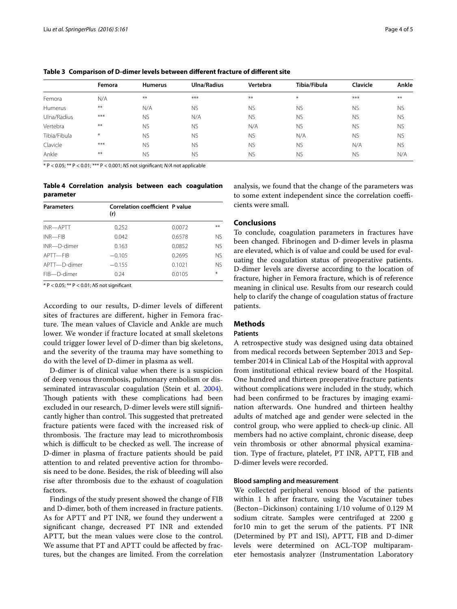|              | Femora | <b>Humerus</b> | <b>Ulna/Radius</b> | Vertebra  | Tibia/Fibula | Clavicle  | Ankle     |
|--------------|--------|----------------|--------------------|-----------|--------------|-----------|-----------|
| Femora       | N/A    | $***$          | $***$              | $***$     | $*$          | $***$     | $***$     |
| Humerus      | $***$  | N/A            | <b>NS</b>          | <b>NS</b> | <b>NS</b>    | <b>NS</b> | <b>NS</b> |
| Ulna/Radius  | $***$  | <b>NS</b>      | N/A                | <b>NS</b> | <b>NS</b>    | <b>NS</b> | <b>NS</b> |
| Vertebra     | $***$  | <b>NS</b>      | <b>NS</b>          | N/A       | <b>NS</b>    | <b>NS</b> | <b>NS</b> |
| Tibia/Fibula | $*$    | <b>NS</b>      | <b>NS</b>          | <b>NS</b> | N/A          | <b>NS</b> | <b>NS</b> |
| Clavicle     | $***$  | <b>NS</b>      | <b>NS</b>          | <b>NS</b> | <b>NS</b>    | N/A       | <b>NS</b> |
| Ankle        | $***$  | <b>NS</b>      | <b>NS</b>          | <b>NS</b> | <b>NS</b>    | <b>NS</b> | N/A       |

<span id="page-3-0"></span>**Table 3 Comparison of D-dimer levels between different fracture of different site**

\* P < 0.05; \*\* P < 0.01; \*\*\* P < 0.001; *NS* not significant; *N/A* not applicable

## <span id="page-3-1"></span>**Table 4 Correlation analysis between each coagulation parameter**

| <b>Parameters</b> | Correlation coefficient P value<br>(r) |        |           |  |
|-------------------|----------------------------------------|--------|-----------|--|
| INR-APTT          | 0.252                                  | 0.0072 | $***$     |  |
| INR—FIB           | 0.042                                  | 0.6578 | NS.       |  |
| INR-D-dimer       | 0.163                                  | 0.0852 | <b>NS</b> |  |
| APTT-FIB          | $-0.105$                               | 0.2695 | <b>NS</b> |  |
| APTT-D-dimer      | $-0.155$                               | 0.1021 | NS.       |  |
| FIB-D-dimer       | 0.24                                   | 0.0105 | ₩         |  |

\* P < 0.05; \*\* P < 0.01; *NS* not significant

According to our results, D-dimer levels of different sites of fractures are different, higher in Femora fracture. The mean values of Clavicle and Ankle are much lower. We wonder if fracture located at small skeletons could trigger lower level of D-dimer than big skeletons, and the severity of the trauma may have something to do with the level of D-dimer in plasma as well.

D-dimer is of clinical value when there is a suspicion of deep venous thrombosis, pulmonary embolism or disseminated intravascular coagulation (Stein et al. [2004](#page-4-19)). Though patients with these complications had been excluded in our research, D-dimer levels were still significantly higher than control. This suggested that pretreated fracture patients were faced with the increased risk of thrombosis. The fracture may lead to microthrombosis which is difficult to be checked as well. The increase of D-dimer in plasma of fracture patients should be paid attention to and related preventive action for thrombosis need to be done. Besides, the risk of bleeding will also rise after thrombosis due to the exhaust of coagulation factors.

Findings of the study present showed the change of FIB and D-dimer, both of them increased in fracture patients. As for APTT and PT INR, we found they underwent a significant change, decreased PT INR and extended APTT, but the mean values were close to the control. We assume that PT and APTT could be affected by fractures, but the changes are limited. From the correlation

analysis, we found that the change of the parameters was to some extent independent since the correlation coefficients were small.

## **Conclusions**

To conclude, coagulation parameters in fractures have been changed. Fibrinogen and D-dimer levels in plasma are elevated, which is of value and could be used for evaluating the coagulation status of preoperative patients. D-dimer levels are diverse according to the location of fracture, higher in Femora fracture, which is of reference meaning in clinical use. Results from our research could help to clarify the change of coagulation status of fracture patients.

# **Methods**

## **Patients**

A retrospective study was designed using data obtained from medical records between September 2013 and September 2014 in Clinical Lab of the Hospital with approval from institutional ethical review board of the Hospital. One hundred and thirteen preoperative fracture patients without complications were included in the study, which had been confirmed to be fractures by imaging examination afterwards. One hundred and thirteen healthy adults of matched age and gender were selected in the control group, who were applied to check-up clinic. All members had no active complaint, chronic disease, deep vein thrombosis or other abnormal physical examination. Type of fracture, platelet, PT INR, APTT, FIB and D-dimer levels were recorded.

#### **Blood sampling and measurement**

We collected peripheral venous blood of the patients within 1 h after fracture, using the Vacutainer tubes (Becton–Dickinson) containing 1/10 volume of 0.129 M sodium citrate. Samples were centrifuged at 2200 g for10 min to get the serum of the patients. PT INR (Determined by PT and ISI), APTT, FIB and D-dimer levels were determined on ACL-TOP multiparameter hemostasis analyzer (Instrumentation Laboratory